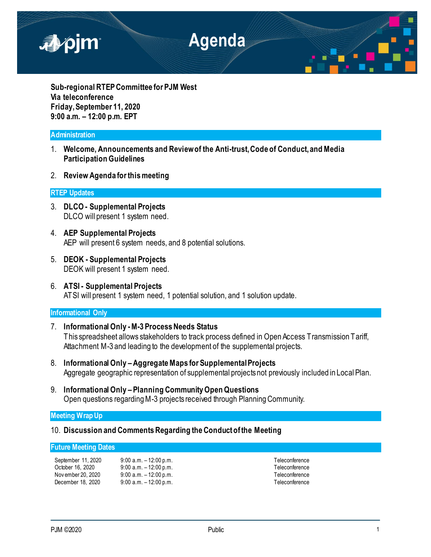

**Sub-regional RTEP Committee for PJM West Via teleconference Friday, September 11, 2020 9:00 a.m. – 12:00 p.m. EPT**

# **Administration**

- 1. **Welcome, Announcements and Review of the Anti-trust, Code of Conduct, and Media Participation Guidelines**
- 2. **Review Agenda for this meeting**

# **RTEP Updates**

- 3. **DLCO - Supplemental Projects** DLCO will present 1 system need.
- 4. **AEP Supplemental Projects** AEP will present 6 system needs, and 8 potential solutions.
- 5. **DEOK - Supplemental Projects** DEOK will present 1 system need.
- 6. **ATSI - Supplemental Projects** ATSI will present 1 system need, 1 potential solution, and 1 solution update.

# **Informational Only**

- 7. **Informational Only -M-3 Process Needs Status** This spreadsheet allows stakeholders to track process defined in Open Access Transmission Tariff, Attachment M-3 and leading to the development of the supplemental projects.
- 8. **Informational Only –Aggregate Maps for Supplemental Projects** Aggregate geographic representation of supplemental projects not previously included in Local Plan.
- 9. **Informational Only – Planning Community Open Questions** Open questions regarding M-3 projects received through Planning Community.

# **Meeting Wrap Up**

10. **Discussion and Comments Regarding the Conduct of the Meeting**

## **Future Meeting Dates**

| September 11, 2020 | $9:00$ a.m. $-12:00$ p.m. |
|--------------------|---------------------------|
| October 16. 2020   | $9:00$ a.m. $-12:00$ p.m. |
| Nov ember 20, 2020 | $9:00$ a.m. $-12:00$ p.m. |
| December 18, 2020  | $9:00$ a.m. $-12:00$ p.m. |

Teleconference Teleconference Teleconference Teleconference